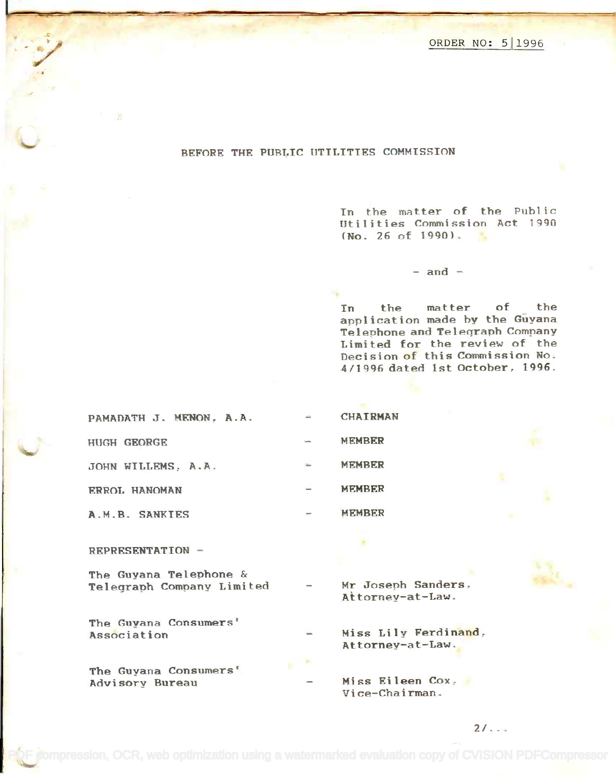ORDER NO: 511996 ORDER NO: 511996

## BEFORE THE PUBLIC UTILITIES COMMISSION

In the matter of the Public Utilities Commission Act 1990  $(No. 26 of 1990).$ 

 $-$  and  $-$ 

In the matter of the In the matter of the application made by the Guyana application made by the Guyana Telephone and Telegraph Company Telephone and Teleqraph Company Limited for the review of the Limited for the review of the Decision of this Commission No. Dec ision <sup>0</sup><sup>f</sup> this Comm ission No. 4/1996 dated 1st October. 1996. 4/1996 dated 1st October, 1996.

| PAMADATH J. MENON. A.A. | ÷              | <b>CHAIRMAN</b> |
|-------------------------|----------------|-----------------|
| <b>HUGH GEORGE</b>      | <b>Service</b> | <b>MEMBER</b>   |
| JOHN WILLEMS, A.A.      | $\frac{1}{2}$  | <b>MEMBER</b>   |
| ERROL HANOMAN           | $\equiv$       | <b>MEMBER</b>   |
|                         |                |                 |

A.M.B. SANKIES - MEMBER

REPRESENTATION -

The Guyana Telephone & The Guyana Telephone & Telegraph Company Limited - Mr Joseph Sanders,

The Guyana Consumers' The Guyana Consumers' Association

The Guyana Consumers' The Guyana Consumers' Advisory Bureau A.dvisory Bureau Miss Eileen Cox,

Mr Joseph Sanders. Attorney-at-Law. Attorney-at-Law.

Miss Lily Ferdinand, A.ssociation Miss Lily Ferdinand, Attorney-at-Law.

> Miss Eileen Cox. Vice-Chairman. Vice-Chairman.

> > 21...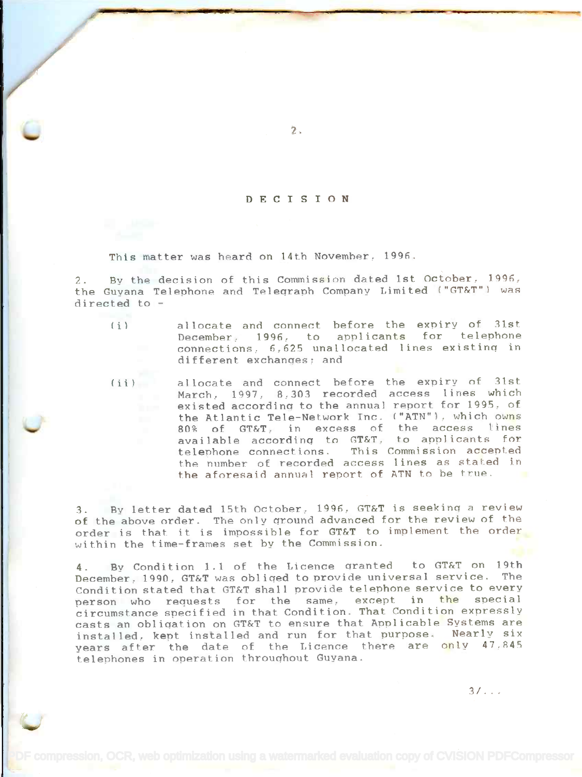## DECISION

2.

This matter was heard on 14th November, 1996.

2. By the decision of this Commission dated 1st October, 1996, the Guyana Telephone and Telegraph Company Limited ("GT&T"1 was the Guyana Telephone and Teleqraph Company Limited ("GT&T") was directed to - directed to -

(i) allocate and connect before the expiry of 31st December, 1996, to applicants for telephone connections, 6,625 unallocated lines existing in different exchanges; and different exchanqes; and

(ii) allocate and connect before the expiry of 31st. March, 1997, 8,303 recorded access lines which existed according to the annual report for 1995, of the Atlantic Tele-Network Inc. ("ATN"), which owns 80% of GT&T, in excess of the access lines available according to GT&T, to applicants for This Commission accepted the number of recorded access lines as stated in the number of recorded access lines as stated in the aforesaid annual report of ATN to be true. telephone connections.

3. By letter dated 15th October, 1996, GT&T is seeking a review of the above order. The only ground advanced for the review of the of the above order. The only qround advanced for the review of the order is that it is impossible for GT&T to implement the order within the time-frames set by the Commission. within the time-frames set by the Commission.

4. By Condition 1.1 of the Licence granted to GT&T on 19th 4. By Condition 1.1 of the Licence qranted to GT&T on 19th December, 1990. GT&T was obliged to provide universal service. The Condition stated that GT&T shall provide telephone service to every Condition stated that GT&T shall provide telephone service to every person who requests for the same, except in the special circumstance specified in that Condition. That Condition expressly casts an obligation on GT&T to ensure that Applicable Systems are casts an obliqation on GT&T to ensure that Applicable Systems are installed, kept installed and run for that purpose. Nearly six years after the date of the Licence there are only 47,845 telephones in operation throughout Guyana. telephones in operation throuqhout Guyana. person who requests for the same, except in the special circumstance specified in that Condition. That Condition expressly

3/. . .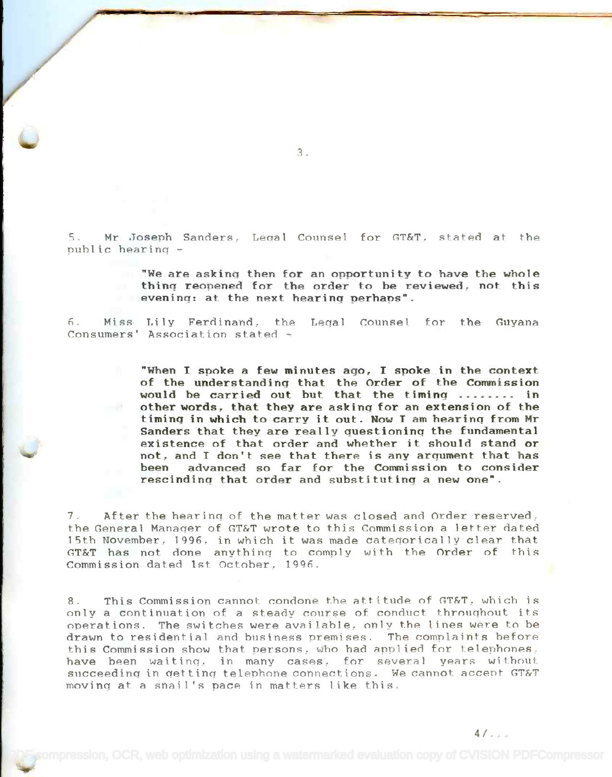5. Mr Joseph Sanders, Legal Counsel for GT&T, stated at the public hearing public hearinq -

> "We are asking then for an opportunity to have the whole **"We are askinq then for an opportunity to have the whole** thing reopened for the order to be reviewed, not this **thinq reopened for the order to be** reviewed~ **not this** evening: at the next hearing perhaps". **eveninq: at the next hearinq perhaps".**

6. Miss Lily Ferdinand, the Leqal Counsel for the Guyana Consumers' Association stated Consumers' Association stated -

> "When I smoke a few minutes ago, I spoke in the context **"When I spoke a few minutes** aqo~ **I spoke in the context** of the understandina that the Order of the Commission **of the understandinq that the Order of the Commission** would be carried out but that the timing ........ in other words, that they are asking for an extension of the otherwords~ **that they are askinq for an extension of the** timing in which to carry it out. Now I am hearing from Mr **timinq in which to carry it out. Now I am hearinq from Mr** Sanders that they are really questionina the fundamental **Sanders that they are really questioninq the fundamental** existence of that order and whether it should stand or **existence of that order and whether it should stand or** not. and I don't see that there is any araument that has **not ~ and I don't see that there is any arqument that has** been advanced so far for the Commission to consider **been advanced so far for the Commission to consider** rescinding that order and substituting a new one". **rescindinq that order and substitutinq a new one".**

7. After the hearing of the matter was closed and Order reserved, 7. After the hearinq of the matter was closed and Order reserved, the General Manager of GT&T wrote to this Commission a letter dated the General Manaqer of GT&T wrote to this Commission a letter dated 15th November, 1996, in which it was made categorically clear that GT&T has not done anything to comply with the Order of this GT&T has not done anythinq to comply with the Order of this Commission dated 1st. October, 1996. Commission dated 1st October, 1996.

8. This Commission cannot condone the attitude of GT&T, which is only a continuation of a steady course of conduct throughout its only a continuation of a steady course of conduct throuqhout its operations. The switches were available, only the lines were to be drawn to residential and business premises. The complaints before drawn to residential and business premises. The comnlaints before this Commission show that persons, who had applied for telephones, have been waitinq, in many cases, for several years without succeeding in getting telephone connections. We cannot accent. GT&T succeedinq in qettinq telephone connections. We cannot accept GT&T moving at a snail's pace in matters like this. movinq at a snail's pace in matters like this.

 $\bm{\varepsilon}$ ompression, OCR, web optimization using a watermarked evaluation copy of CVISION PDFCompressor

3.